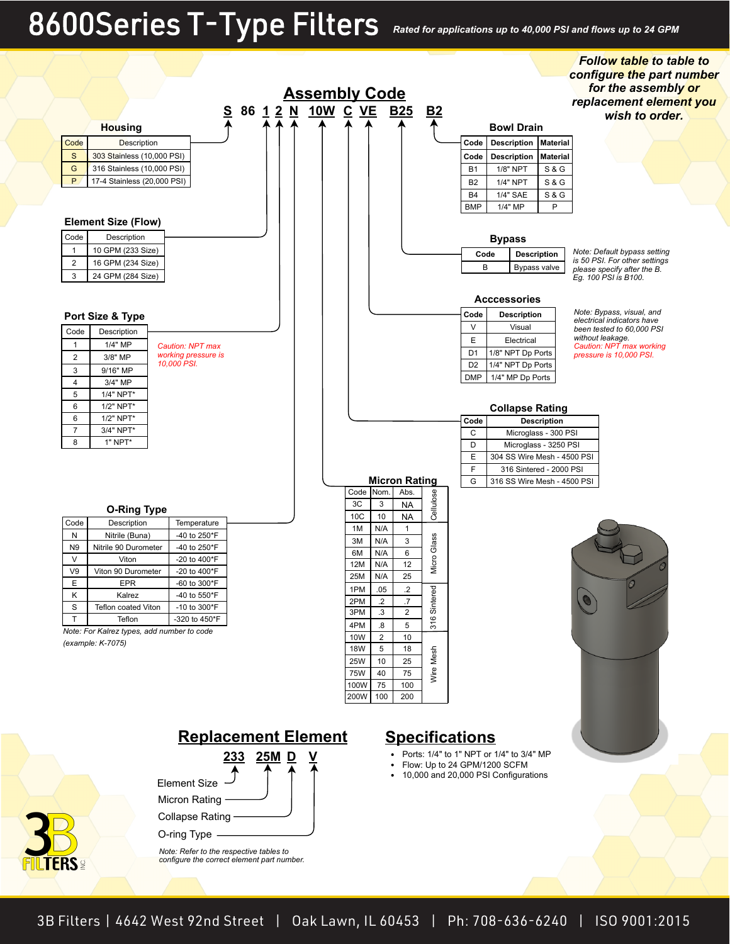# 8600 Series T-Type Filters *Rated for applications up to 40,000 PSI and flows up to 24 GPM*

FIL

*Follow table to table to* 

|                      |                                            |                                                                                       |           |  |  |                       |                   |                |                      |                         |                                                                       | configure the part number                                    |
|----------------------|--------------------------------------------|---------------------------------------------------------------------------------------|-----------|--|--|-----------------------|-------------------|----------------|----------------------|-------------------------|-----------------------------------------------------------------------|--------------------------------------------------------------|
| <b>Assembly Code</b> |                                            |                                                                                       |           |  |  |                       |                   |                |                      |                         |                                                                       | for the assembly or                                          |
|                      |                                            |                                                                                       | <u>s</u>  |  |  | 86 1 2 N 10W C VE B25 |                   |                |                      | <b>B2</b>               |                                                                       | replacement element you                                      |
|                      |                                            |                                                                                       |           |  |  |                       |                   |                |                      |                         |                                                                       | wish to order.                                               |
|                      | <b>Housing</b>                             |                                                                                       |           |  |  |                       |                   |                |                      |                         | <b>Bowl Drain</b>                                                     |                                                              |
| Code                 | <b>Description</b>                         |                                                                                       |           |  |  |                       |                   |                |                      |                         | <b>Description</b><br><b>Material</b><br>Code                         |                                                              |
| $\mathbf S$          | 303 Stainless (10,000 PSI)                 |                                                                                       |           |  |  |                       |                   |                |                      |                         | Code<br><b>Description</b><br><b>Material</b>                         |                                                              |
| G                    | 316 Stainless (10,000 PSI)                 |                                                                                       |           |  |  |                       |                   |                |                      |                         | <b>S&amp;G</b><br>B <sub>1</sub><br>1/8" NPT                          |                                                              |
| P                    | 17-4 Stainless (20,000 PSI)                |                                                                                       |           |  |  |                       |                   |                |                      |                         | <b>S&amp;G</b><br>B <sub>2</sub><br>1/4" NPT                          |                                                              |
|                      |                                            |                                                                                       |           |  |  |                       |                   |                |                      |                         | 1/4" SAE<br><b>B4</b><br><b>S&amp;G</b>                               |                                                              |
|                      |                                            |                                                                                       |           |  |  |                       |                   |                |                      |                         | <b>BMP</b><br>P<br>1/4" MP                                            |                                                              |
|                      | <b>Element Size (Flow)</b>                 |                                                                                       |           |  |  |                       |                   |                |                      |                         |                                                                       |                                                              |
| Code                 | Description                                |                                                                                       |           |  |  |                       |                   |                |                      |                         | <b>Bypass</b>                                                         |                                                              |
| $\mathbf{1}$         | 10 GPM (233 Size)                          |                                                                                       |           |  |  |                       |                   |                |                      |                         | Code<br><b>Description</b>                                            | Note: Default bypass setting                                 |
| $\overline{c}$       | 16 GPM (234 Size)                          |                                                                                       |           |  |  |                       |                   |                |                      |                         | B<br>Bypass valve                                                     | is 50 PSI. For other settings<br>please specify after the B. |
| 3                    | 24 GPM (284 Size)                          |                                                                                       |           |  |  |                       |                   |                |                      |                         |                                                                       | Eg. 100 PSI is B100.                                         |
|                      |                                            |                                                                                       |           |  |  |                       |                   |                |                      |                         |                                                                       |                                                              |
|                      |                                            |                                                                                       |           |  |  |                       |                   |                |                      |                         | <b>Acccessories</b>                                                   | Note: Bypass, visual, and                                    |
|                      | Port Size & Type                           |                                                                                       |           |  |  |                       |                   |                |                      |                         | Code<br><b>Description</b>                                            | electrical indicators have                                   |
| Code                 | Description                                |                                                                                       |           |  |  |                       |                   |                |                      |                         | $\vee$<br>Visual                                                      | been tested to 60,000 PSI<br>without leakage.                |
| $\mathbf{1}$         | 1/4" MP                                    | <b>Caution: NPT max</b>                                                               |           |  |  |                       |                   |                |                      |                         | $\mathsf E$<br>Electrical                                             | Caution: NPT max working                                     |
| $\overline{2}$       | 3/8" MP                                    | working pressure is<br>10,000 PSI.                                                    |           |  |  |                       |                   |                |                      |                         | D <sub>1</sub><br>1/8" NPT Dp Ports                                   | pressure is 10,000 PSI.                                      |
| 3                    | 9/16" MP                                   |                                                                                       |           |  |  |                       |                   |                |                      |                         | D <sub>2</sub><br>1/4" NPT Dp Ports<br><b>DMP</b><br>1/4" MP Dp Ports |                                                              |
| $\overline{4}$       | 3/4" MP                                    |                                                                                       |           |  |  |                       |                   |                |                      |                         |                                                                       |                                                              |
| 5                    | 1/4" NPT*                                  |                                                                                       |           |  |  |                       |                   |                |                      |                         |                                                                       |                                                              |
| 6<br>6               | 1/2" NPT*<br>1/2" NPT*                     |                                                                                       |           |  |  |                       |                   |                |                      |                         | <b>Collapse Rating</b>                                                |                                                              |
| $\overline{7}$       | 3/4" NPT*                                  |                                                                                       |           |  |  |                       |                   |                |                      |                         | Code<br><b>Description</b><br>C                                       |                                                              |
| 8                    | 1" NPT*                                    |                                                                                       |           |  |  |                       |                   |                |                      |                         | Microglass - 300 PSI<br>D<br>Microglass - 3250 PSI                    |                                                              |
|                      |                                            |                                                                                       |           |  |  |                       |                   |                |                      |                         | E<br>304 SS Wire Mesh - 4500 PSI                                      |                                                              |
|                      |                                            |                                                                                       |           |  |  |                       |                   |                |                      |                         | $\mathsf F$<br>316 Sintered - 2000 PSI                                |                                                              |
|                      |                                            |                                                                                       |           |  |  |                       |                   |                | <b>Micron Rating</b> |                         | G<br>316 SS Wire Mesh - 4500 PSI                                      |                                                              |
|                      |                                            |                                                                                       |           |  |  |                       |                   | Code Nom.      | Abs.                 |                         |                                                                       |                                                              |
|                      | <b>O-Ring Type</b>                         |                                                                                       |           |  |  |                       | 3C                | 3              | <b>NA</b>            | Cellulose               |                                                                       |                                                              |
| Code                 | Description                                | Temperature                                                                           |           |  |  |                       | 10C               | 10             | <b>NA</b>            |                         |                                                                       |                                                              |
| N                    | Nitrile (Buna)                             | -40 to 250*F                                                                          |           |  |  |                       | 1M                | N/A            | $\mathbf{1}$         |                         |                                                                       |                                                              |
| N9                   | Nitrile 90 Durometer                       | -40 to 250*F                                                                          |           |  |  |                       | 3M<br>6M          | N/A<br>N/A     | 3<br>6               | Glass                   |                                                                       |                                                              |
| $\vee$               | Viton                                      | -20 to 400*F                                                                          |           |  |  |                       | 12M               | N/A            | 12                   | Micro                   |                                                                       |                                                              |
| V9                   | Viton 90 Durometer                         | -20 to 400*F                                                                          |           |  |  |                       | 25M               | N/A            | 25                   |                         |                                                                       |                                                              |
| E                    | EPR                                        | -60 to 300*F                                                                          |           |  |  |                       | 1PM               | .05            | $\cdot$              |                         |                                                                       |                                                              |
| Κ                    | Kalrez                                     | -40 to 550*F                                                                          |           |  |  |                       | 2PM               | $\overline{2}$ | 7.                   | tered                   |                                                                       |                                                              |
| S<br>$\mathsf{T}$    | <b>Teflon coated Viton</b><br>Teflon       | -10 to 300*F<br>-320 to 450*F                                                         |           |  |  |                       | 3PM               | .3             | $\overline{2}$       | लैं<br>$\mathbf  \circ$ |                                                                       |                                                              |
|                      | Note: For Kalrez types, add number to code |                                                                                       |           |  |  |                       | 4PM               | 8.             | 5                    | స్                      |                                                                       |                                                              |
|                      | (example: K-7075)                          |                                                                                       |           |  |  |                       | 10W               | 2              | 10                   |                         |                                                                       |                                                              |
|                      |                                            |                                                                                       |           |  |  |                       | <b>18W</b>        | 5              | 18                   | Mesh                    |                                                                       |                                                              |
|                      |                                            |                                                                                       |           |  |  |                       | 25W<br><b>75W</b> | 10<br>40       | 25<br>75             |                         |                                                                       |                                                              |
|                      |                                            |                                                                                       |           |  |  |                       | 100W              | 75             | 100                  | Wire                    |                                                                       |                                                              |
|                      |                                            |                                                                                       |           |  |  |                       | 200W              | 100            | 200                  |                         |                                                                       |                                                              |
|                      |                                            |                                                                                       |           |  |  |                       |                   |                |                      |                         |                                                                       |                                                              |
|                      |                                            |                                                                                       |           |  |  |                       |                   |                |                      |                         |                                                                       |                                                              |
|                      |                                            | <b>Replacement Element</b>                                                            |           |  |  |                       |                   |                |                      |                         | <b>Specifications</b>                                                 |                                                              |
|                      |                                            |                                                                                       |           |  |  |                       |                   |                |                      |                         | Ports: 1/4" to 1" NPT or 1/4" to 3/4" MP                              |                                                              |
|                      |                                            |                                                                                       | 233 25M D |  |  | <u>V</u>              |                   |                |                      |                         | Flow: Up to 24 GPM/1200 SCFM                                          |                                                              |
|                      |                                            |                                                                                       |           |  |  |                       |                   |                | ٠                    |                         | 10,000 and 20,000 PSI Configurations                                  |                                                              |
|                      |                                            | <b>Element Size</b>                                                                   |           |  |  |                       |                   |                |                      |                         |                                                                       |                                                              |
|                      |                                            | <b>Micron Rating</b>                                                                  |           |  |  |                       |                   |                |                      |                         |                                                                       |                                                              |
|                      |                                            | <b>Collapse Rating</b>                                                                |           |  |  |                       |                   |                |                      |                         |                                                                       |                                                              |
|                      |                                            |                                                                                       |           |  |  |                       |                   |                |                      |                         |                                                                       |                                                              |
|                      |                                            | O-ring Type -                                                                         |           |  |  |                       |                   |                |                      |                         |                                                                       |                                                              |
|                      |                                            | Note: Refer to the respective tables to<br>configure the correct element part number. |           |  |  |                       |                   |                |                      |                         |                                                                       |                                                              |
| <b>TERS</b> ⊴        |                                            |                                                                                       |           |  |  |                       |                   |                |                      |                         |                                                                       |                                                              |
|                      |                                            |                                                                                       |           |  |  |                       |                   |                |                      |                         |                                                                       |                                                              |